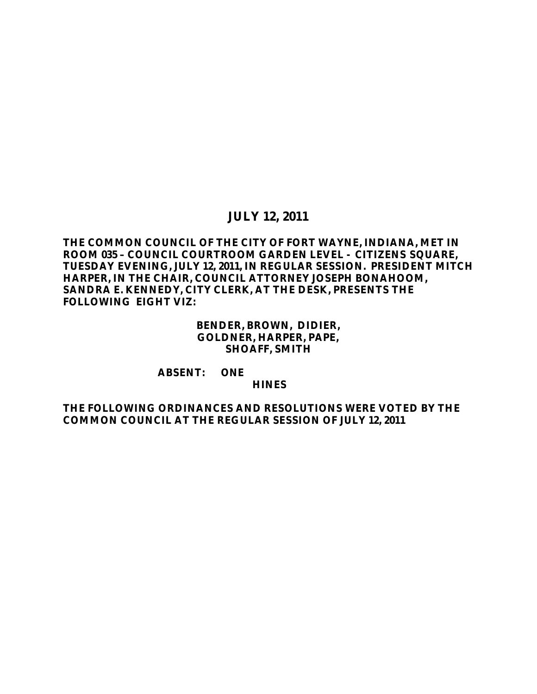# **JULY 12, 2011**

### **THE COMMON COUNCIL OF THE CITY OF FORT WAYNE, INDIANA, MET IN ROOM 035 – COUNCIL COURTROOM GARDEN LEVEL - CITIZENS SQUARE, TUESDAY EVENING, JULY 12, 2011, IN REGULAR SESSION. PRESIDENT MITCH HARPER, IN THE CHAIR, COUNCIL ATTORNEY JOSEPH BONAHOOM, SANDRA E. KENNEDY, CITY CLERK, AT THE DESK, PRESENTS THE FOLLOWING EIGHT VIZ:**

#### **BENDER, BROWN, DIDIER, GOLDNER, HARPER, PAPE, SHOAFF, SMITH**

#### **ABSENT: ONE**

#### **HINES**

#### **THE FOLLOWING ORDINANCES AND RESOLUTIONS WERE VOTED BY THE COMMON COUNCIL AT THE REGULAR SESSION OF JULY 12, 2011**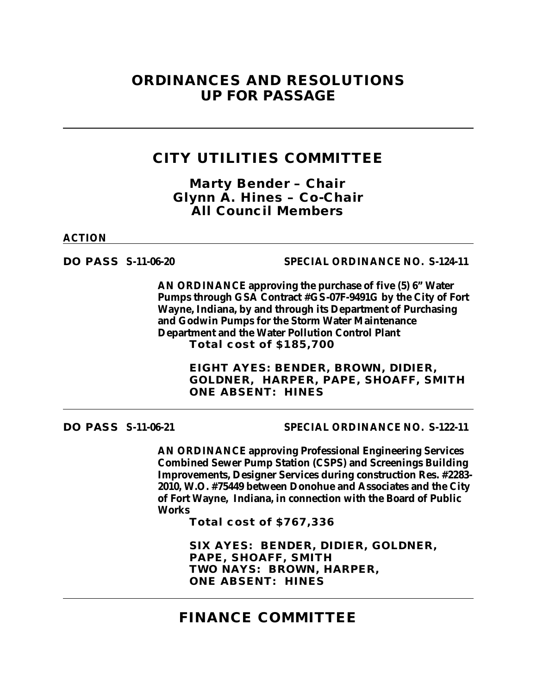# **ORDINANCES AND RESOLUTIONS UP FOR PASSAGE**

# **CITY UTILITIES COMMITTEE**

*Marty Bender – Chair Glynn A. Hines – Co-Chair All Council Members*

**ACTION**

**DO PASS S-11-06-20 SPECIAL ORDINANCE NO. S-124-11**

**AN ORDINANCE approving the purchase of five (5) 6" Water Pumps through GSA Contract #GS-07F-9491G by the City of Fort Wayne, Indiana, by and through its Department of Purchasing and Godwin Pumps for the Storm Water Maintenance Department and the Water Pollution Control Plant Total cost of \$185,700**

> **EIGHT AYES: BENDER, BROWN, DIDIER, GOLDNER, HARPER, PAPE, SHOAFF, SMITH ONE ABSENT: HINES**

**DO PASS S-11-06-21 SPECIAL ORDINANCE NO. S-122-11**

**AN ORDINANCE approving Professional Engineering Services Combined Sewer Pump Station (CSPS) and Screenings Building Improvements, Designer Services during construction Res. #2283- 2010, W.O. #75449 between Donohue and Associates and the City of Fort Wayne, Indiana, in connection with the Board of Public Works**

**Total cost of \$767,336**

**SIX AYES: BENDER, DIDIER, GOLDNER, PAPE, SHOAFF, SMITH TWO NAYS: BROWN, HARPER, ONE ABSENT: HINES**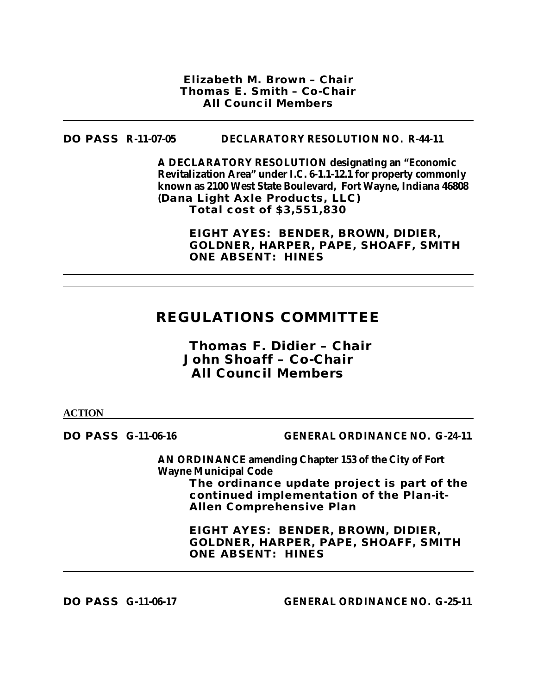*Elizabeth M. Brown – Chair Thomas E. Smith – Co-Chair All Council Members*

#### **DO PASS R-11-07-05 DECLARATORY RESOLUTION NO. R-44-11**

**A DECLARATORY RESOLUTION designating an "Economic Revitalization Area" under I.C. 6-1.1-12.1 for property commonly known as 2100 West State Boulevard, Fort Wayne, Indiana 46808 (Dana Light Axle Products, LLC) Total cost of \$3,551,830**

> **EIGHT AYES: BENDER, BROWN, DIDIER, GOLDNER, HARPER, PAPE, SHOAFF, SMITH ONE ABSENT: HINES**

# **REGULATIONS COMMITTEE**

# *Thomas F. Didier – Chair John Shoaff – Co-Chair All Council Members*

**ACTION**

**DO PASS G-11-06-16 GENERAL ORDINANCE NO. G-24-11**

**AN ORDINANCE amending Chapter 153 of the City of Fort Wayne Municipal Code The ordinance update project is part of the continued implementation of the Plan-it-Allen Comprehensive Plan**

> **EIGHT AYES: BENDER, BROWN, DIDIER, GOLDNER, HARPER, PAPE, SHOAFF, SMITH ONE ABSENT: HINES**

**DO PASS G-11-06-17 GENERAL ORDINANCE NO. G-25-11**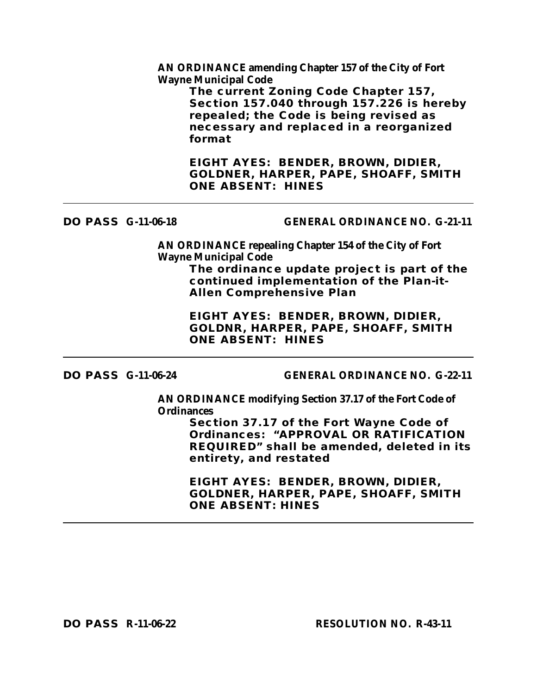**AN ORDINANCE amending Chapter 157 of the City of Fort Wayne Municipal Code**

> **The current Zoning Code Chapter 157, Section 157.040 through 157.226 is hereby repealed; the Code is being revised as necessary and replaced in a reorganized format**

**EIGHT AYES: BENDER, BROWN, DIDIER, GOLDNER, HARPER, PAPE, SHOAFF, SMITH ONE ABSENT: HINES**

#### **DO PASS G-11-06-18 GENERAL ORDINANCE NO. G-21-11**

**AN ORDINANCE repealing Chapter 154 of the City of Fort Wayne Municipal Code**

**The ordinance update project is part of the continued implementation of the Plan-it-Allen Comprehensive Plan**

**EIGHT AYES: BENDER, BROWN, DIDIER, GOLDNR, HARPER, PAPE, SHOAFF, SMITH ONE ABSENT: HINES** 

### **DO PASS G-11-06-24 GENERAL ORDINANCE NO. G-22-11**

**AN ORDINANCE modifying Section 37.17 of the Fort Code of Ordinances** 

> **Section 37.17 of the Fort Wayne Code of Ordinances: "APPROVAL OR RATIFICATION REQUIRED" shall be amended, deleted in its entirety, and restated**

**EIGHT AYES: BENDER, BROWN, DIDIER, GOLDNER, HARPER, PAPE, SHOAFF, SMITH ONE ABSENT: HINES**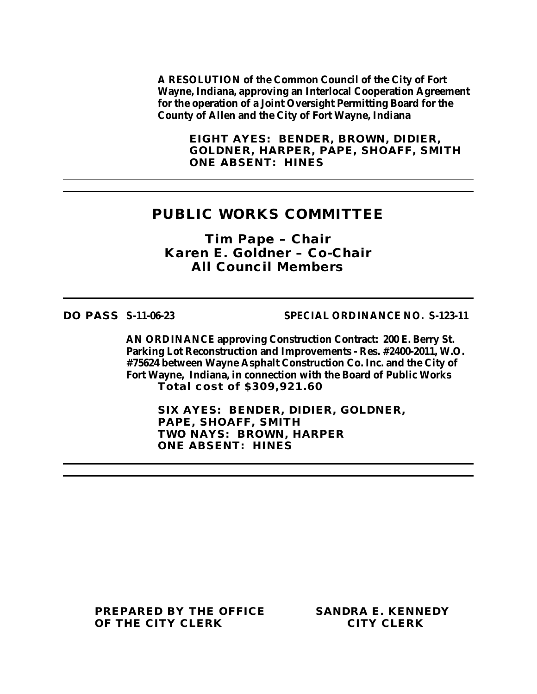**A RESOLUTION of the Common Council of the City of Fort Wayne, Indiana, approving an Interlocal Cooperation Agreement for the operation of a Joint Oversight Permitting Board for the County of Allen and the City of Fort Wayne, Indiana**

**EIGHT AYES: BENDER, BROWN, DIDIER, GOLDNER, HARPER, PAPE, SHOAFF, SMITH ONE ABSENT: HINES**

## **PUBLIC WORKS COMMITTEE**

*Tim Pape – Chair Karen E. Goldner – Co-Chair All Council Members*

**DO PASS S-11-06-23 SPECIAL ORDINANCE NO. S-123-11**

**AN ORDINANCE approving Construction Contract: 200 E. Berry St. Parking Lot Reconstruction and Improvements - Res. #2400-2011, W.O. #75624 between Wayne Asphalt Construction Co. Inc. and the City of Fort Wayne, Indiana, in connection with the Board of Public Works Total cost of \$309,921.60**

**SIX AYES: BENDER, DIDIER, GOLDNER, PAPE, SHOAFF, SMITH TWO NAYS: BROWN, HARPER ONE ABSENT: HINES**

**PREPARED BY THE OFFICE SANDRA E. KENNEDY OF THE CITY CLERK CITY CLERK**